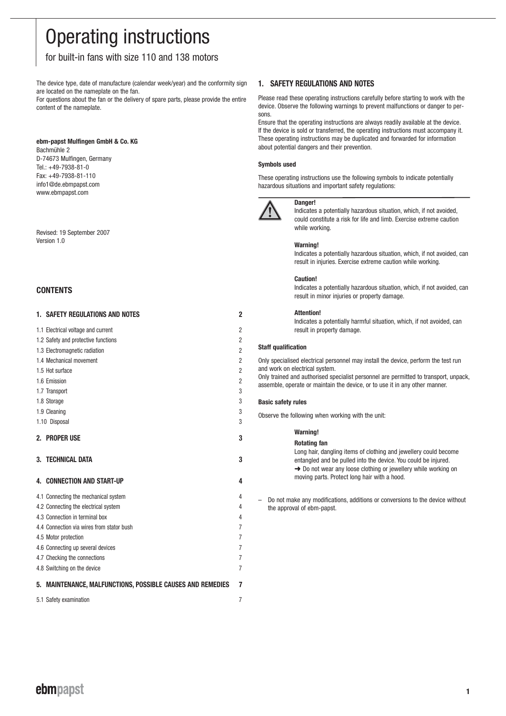# Operating instructions

### for built-in fans with size 110 and 138 motors

The device type, date of manufacture (calendar week/year) and the conformity sign are located on the nameplate on the fan.

For questions about the fan or the delivery of spare parts, please provide the entire content of the nameplate.

#### **ebm-papst Mulfingen GmbH & Co. KG**

Bachmühle 2 D-74673 Mulfingen, Germany Tel.: +49-7938-81-0 Fax: +49-7938-81-110 info1@de.ebmpapst.com www.ebmpapst.com

Revised: 19 September 2007 Version 1.0

### **CONTENTS**

|    | <b>1. SAFETY REGULATIONS AND NOTES</b>                         | 2              |
|----|----------------------------------------------------------------|----------------|
|    | 1.1 Electrical voltage and current                             | $\overline{2}$ |
|    | 1.2 Safety and protective functions                            | $\overline{2}$ |
|    | 1.3 Electromagnetic radiation                                  | $\overline{2}$ |
|    | 1.4 Mechanical movement                                        | $\overline{2}$ |
|    | 1.5 Hot surface                                                | $\overline{2}$ |
|    | 1.6 Emission                                                   | $\overline{2}$ |
|    | 1.7 Transport                                                  | 3              |
|    | 1.8 Storage                                                    | 3              |
|    | 1.9 Cleaning                                                   | 3              |
|    | 1.10 Disposal                                                  | 3              |
|    | 2. PROPER USE                                                  | 3              |
|    | <b>3. TECHNICAL DATA</b>                                       | 3              |
|    |                                                                |                |
| 4. | <b>CONNECTION AND START-UP</b>                                 | 4              |
|    | 4.1 Connecting the mechanical system                           | 4              |
|    | 4.2 Connecting the electrical system                           | 4              |
|    | 4.3 Connection in terminal box                                 | 4              |
|    | 4.4 Connection via wires from stator bush                      | $\overline{7}$ |
|    | 4.5 Motor protection                                           | $\overline{7}$ |
|    | 4.6 Connecting up several devices                              | $\overline{7}$ |
|    | 4.7 Checking the connections                                   | $\overline{7}$ |
|    | 4.8 Switching on the device                                    | $\overline{7}$ |
| 5. | <b>MAINTENANCE, MALFUNCTIONS, POSSIBLE CAUSES AND REMEDIES</b> | 7              |
|    | 5.1 Safety examination                                         | $\overline{7}$ |

### **1. SAFETY REGULATIONS AND NOTES**

Please read these operating instructions carefully before starting to work with the device. Observe the following warnings to prevent malfunctions or danger to persons.

Ensure that the operating instructions are always readily available at the device. If the device is sold or transferred, the operating instructions must accompany it. These operating instructions may be duplicated and forwarded for information about potential dangers and their prevention.

#### **Symbols used**

These operating instructions use the following symbols to indicate potentially hazardous situations and important safety regulations:



**Danger!**  Indicates a potentially hazardous situation, which, if not avoided, could constitute a risk for life and limb. Exercise extreme caution while working.

#### **Warning!**

Indicates a potentially hazardous situation, which, if not avoided, can result in injuries. Exercise extreme caution while working.

#### **Caution!**

Indicates a potentially hazardous situation, which, if not avoided, can result in minor injuries or property damage.

#### **Attention!**

Indicates a potentially harmful situation, which, if not avoided, can result in property damage.

#### **Staff qualification**

Only specialised electrical personnel may install the device, perform the test run and work on electrical system.

Only trained and authorised specialist personnel are permitted to transport, unpack, assemble, operate or maintain the device, or to use it in any other manner.

#### **Basic safety rules**

Observe the following when working with the unit:

Long hair, dangling items of clothing and jewellery could become entangled and be pulled into the device. You could be injured. **→** Do not wear any loose clothing or jewellery while working on moving parts. Protect long hair with a hood.

– Do not make any modifications, additions or conversions to the device without the approval of ebm-papst.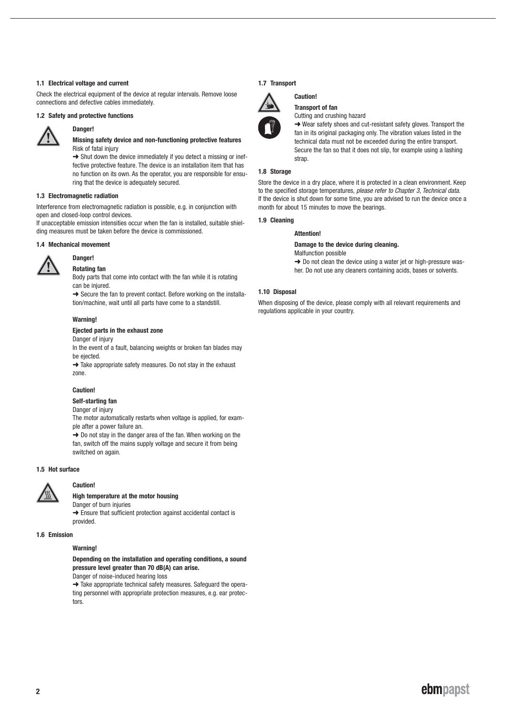#### **1.1 Electrical voltage and current**

Check the electrical equipment of the device at regular intervals. Remove loose connections and defective cables immediately.

#### **1.2 Safety and protective functions**



## **Danger!**

#### **Missing safety device and non-functioning protective features** Risk of fatal injury

→ Shut down the device immediately if you detect a missing or ineffective protective feature. The device is an installation item that has no function on its own. As the operator, you are responsible for ensuring that the device is adequately secured.

#### **1.3 Electromagnetic radiation**

Interference from electromagnetic radiation is possible, e.g. in conjunction with open and closed-loop control devices.

If unacceptable emission intensities occur when the fan is installed, suitable shielding measures must be taken before the device is commissioned.

#### **1.4 Mechanical movement**



### **Danger! Rotating fan**

Body parts that come into contact with the fan while it is rotating can be injured.

 $\rightarrow$  Secure the fan to prevent contact. Before working on the installation/machine, wait until all parts have come to a standstill.

#### **Warning!**

#### **Ejected parts in the exhaust zone**

Danger of injury

In the event of a fault, balancing weights or broken fan blades may be ejected.

→ Take appropriate safety measures. Do not stay in the exhaust zone.

#### **Caution!**

### **Self-starting fan**

Danger of injury

The motor automatically restarts when voltage is applied, for example after a power failure an.  $\rightarrow$  Do not stay in the danger area of the fan. When working on the

fan, switch off the mains supply voltage and secure it from being switched on again.

#### **1.5 Hot surface**



### **Caution!**

#### **High temperature at the motor housing**

Danger of burn injuries **→** Ensure that sufficient protection against accidental contact is provided.

#### **1.6 Emission**

#### **Warning!**

**Depending on the installation and operating conditions, a sound pressure level greater than 70 dB(A) can arise.**  Danger of noise-induced hearing loss

**→ Take appropriate technical safety measures. Safeguard the opera**ting personnel with appropriate protection measures, e.g. ear protectors.

#### **1.7 Transport**



### **Caution! Transport of fan**

Cutting and crushing hazard

**→** Wear safety shoes and cut-resistant safety gloves. Transport the fan in its original packaging only. The vibration values listed in the technical data must not be exceeded during the entire transport. Secure the fan so that it does not slip, for example using a lashing strap.

#### **1.8 Storage**

Store the device in a dry place, where it is protected in a clean environment. Keep to the specified storage temperatures, please refer to Chapter 3, Technical data. If the device is shut down for some time, you are advised to run the device once a month for about 15 minutes to move the bearings.

#### **1.9 Cleaning**

#### **Attention!**

**Damage to the device during cleaning.**

Malfunction possible

**→** Do not clean the device using a water jet or high-pressure washer. Do not use any cleaners containing acids, bases or solvents.

#### **1.10 Disposal**

When disposing of the device, please comply with all relevant requirements and regulations applicable in your country.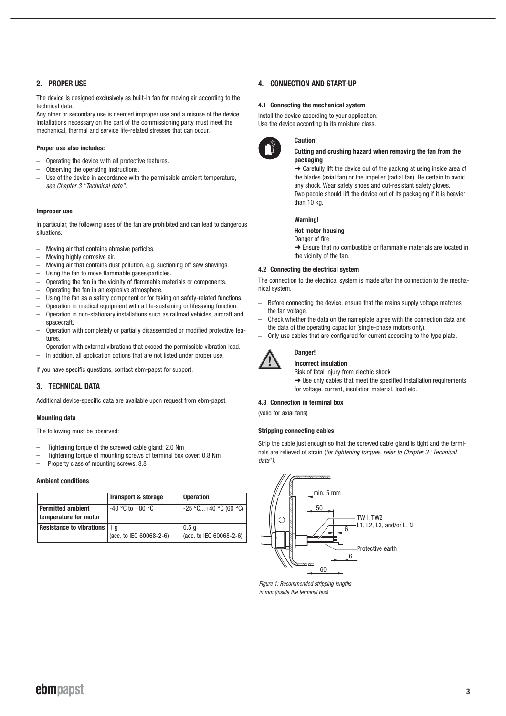### **2. PROPER USE**

The device is designed exclusively as built-in fan for moving air according to the technical data.

Any other or secondary use is deemed improper use and a misuse of the device. Installations necessary on the part of the commissioning party must meet the mechanical, thermal and service life-related stresses that can occur.

#### **Proper use also includes:**

- Operating the device with all protective features.
- Observing the operating instructions.
- Use of the device in accordance with the permissible ambient temperature. see Chapter 3 "Technical data".

#### **Improper use**

In particular, the following uses of the fan are prohibited and can lead to dangerous situations:

- Moving air that contains abrasive particles.
- Moving highly corrosive air.
- Moving air that contains dust pollution, e.g. suctioning off saw shavings.
- Using the fan to move flammable gases/particles.
- Operating the fan in the vicinity of flammable materials or components.
- Operating the fan in an explosive atmosphere.
- Using the fan as a safety component or for taking on safety-related functions.
- Operation in medical equipment with a life-sustaining or lifesaving function.
- Operation in non-stationary installations such as railroad vehicles, aircraft and spacecraft.
- Operation with completely or partially disassembled or modified protective features
- Operation with external vibrations that exceed the permissible vibration load.
- In addition, all application options that are not listed under proper use.

If you have specific questions, contact ebm-papst for support.

### **3. TECHNICAL DATA**

Additional device-specific data are available upon request from ebm-papst.

#### **Mounting data**

The following must be observed:

- Tightening torque of the screwed cable gland: 2.0 Nm
- Tightening torque of mounting screws of terminal box cover: 0.8 Nm
- Property class of mounting screws: 8.8

#### **Ambient conditions**

|                                                   | <b>Transport &amp; storage</b> | <b>Operation</b>                                       |
|---------------------------------------------------|--------------------------------|--------------------------------------------------------|
| <b>Permitted ambient</b><br>temperature for motor | $-40$ °C to $+80$ °C           | -25 °C…+40 °C (60 °C)                                  |
| <b>Resistance to vibrations   1 q</b>             | (acc. to IEC 60068-2-6)        | $\vert 0.5 \vert 0 \vert$<br>$(acc. to IEC 60068-2-6)$ |

#### **4. CONNECTION AND START-UP**

**Caution!**

#### **4.1 Connecting the mechanical system**

Install the device according to your application. Use the device according to its moisture class.



#### **Cutting and crushing hazard when removing the fan from the packaging**

 $\rightarrow$  Carefully lift the device out of the packing at using inside area of the blades (axial fan) or the impeller (radial fan). Be certain to avoid any shock. Wear safety shoes and cut-resistant safety gloves. Two people should lift the device out of its packaging if it is heavier than 10 kg.

#### **Warning!**

#### **Hot motor housing**

Danger of fire

→ Ensure that no combustible or flammable materials are located in the vicinity of the fan.

#### **4.2 Connecting the electrical system**

The connection to the electrical system is made after the connection to the mechanical system.

- Before connecting the device, ensure that the mains supply voltage matches the fan voltage.
- Check whether the data on the nameplate agree with the connection data and the data of the operating capacitor (single-phase motors only).
- Only use cables that are configured for current according to the type plate.



#### **Danger! Incorrect insulation**

Risk of fatal injury from electric shock

 $\rightarrow$  Use only cables that meet the specified installation requirements for voltage, current, insulation material, load etc.

#### **4.3 Connection in terminal box**

(valid for axial fans)

#### **Stripping connecting cables**

Strip the cable just enough so that the screwed cable gland is tight and the terminals are relieved of strain (for tightening torques, refer to Chapter 3 "Technical data").



Figure 1: Recommended stripping lengths in mm (inside the terminal box)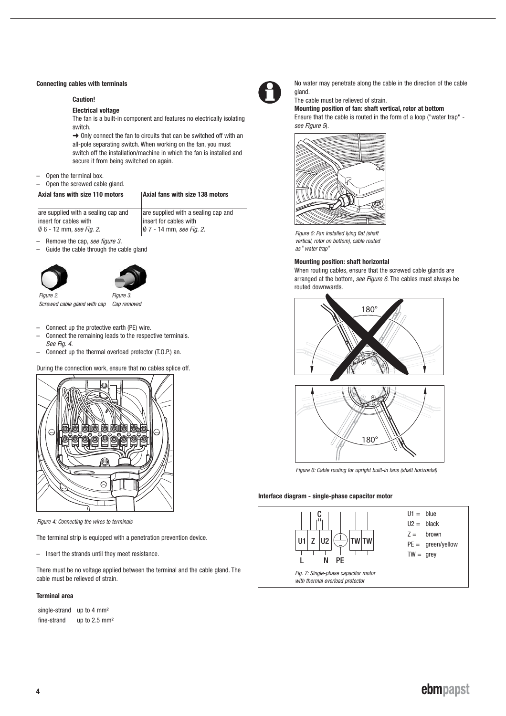#### **Connecting cables with terminals**

#### **Caution!**

#### **Electrical voltage**

The fan is a built-in component and features no electrically isolating switch.

 $\rightarrow$  Only connect the fan to circuits that can be switched off with an all-pole separating switch. When working on the fan, you must switch off the installation/machine in which the fan is installed and secure it from being switched on again.

- $-$  Open the terminal box.<br> $-$  Open the screwed cab
- Open the screwed cable gland.

#### Axial fans with size 110 motors | Axial fans with size 138 motors

are supplied with a sealing cap and insert for cables with Ø 6 - 12 mm, see Fig. 2. are supplied with a sealing cap and insert for cables with  $\varphi$  7 - 14 mm, see Fig. 2.

- Remove the cap, see figure 3.
- Guide the cable through the cable gland





Figure 2 Screwed cable gland with cap Cap removed

- Connect up the protective earth (PE) wire.
- Connect the remaining leads to the respective terminals. See Fig. 4.
- Connect up the thermal overload protector (T.O.P.) an.

During the connection work, ensure that no cables splice off.



Figure 4: Connecting the wires to terminals

The terminal strip is equipped with a penetration prevention device.

– Insert the strands until they meet resistance.

There must be no voltage applied between the terminal and the cable gland. The cable must be relieved of strain.

#### **Terminal area**

| single-strand | up to $4 \text{ mm}^2$   |
|---------------|--------------------------|
| fine-strand   | up to $2.5 \text{ mm}^2$ |



No water may penetrate along the cable in the direction of the cable gland.

#### The cable must be relieved of strain. **Mounting position of fan: shaft vertical, rotor at bottom**

Ensure that the cable is routed in the form of a loop ("water trap" see Figure 5).



Figure 5: Fan installed lying flat (shaft vertical, rotor on bottom), cable routed as "water trap"

#### **Mounting position: shaft horizontal**

When routing cables, ensure that the screwed cable glands are arranged at the bottom, see Figure 6. The cables must always be routed downwards.





Figure 6: Cable routing for upright built-in fans (shaft horizontal)

#### **Interface diagram - single-phase capacitor motor**

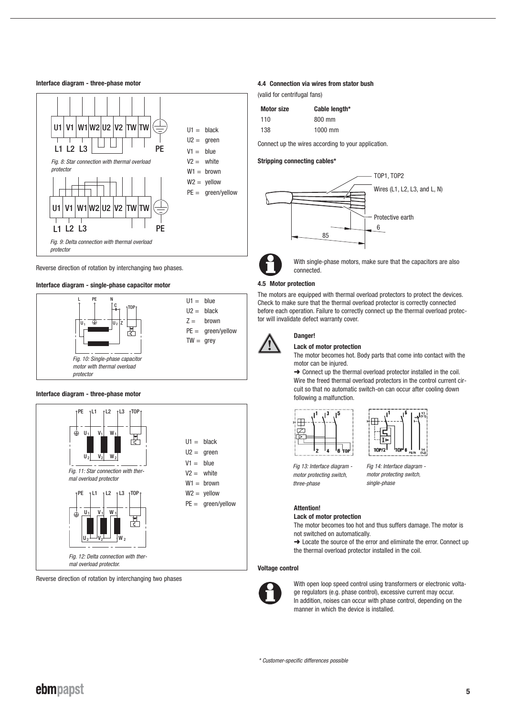#### **Interface diagram - three-phase motor**



Reverse direction of rotation by interchanging two phases.

#### **Interface diagram - single-phase capacitor motor**



#### **Interface diagram - three-phase motor**



Reverse direction of rotation by interchanging two phases

#### **4.4 Connection via wires from stator bush**

(valid for centrifugal fans)

| <b>Motor size</b> | Cable length* |
|-------------------|---------------|
| 110               | 800 mm        |
| 138               | 1000 mm       |

Connect up the wires according to your application.

#### **Stripping connecting cables\***





With single-phase motors, make sure that the capacitors are also connected.

#### **4.5 Motor protection**

The motors are equipped with thermal overload protectors to protect the devices. Check to make sure that the thermal overload protector is correctly connected before each operation. Failure to correctly connect up the thermal overload protector will invalidate defect warranty cover.



### **Danger!**

#### **Lack of motor protection**

The motor becomes hot. Body parts that come into contact with the motor can be injured.

**→ Connect up the thermal overload protector installed in the coil.** Wire the freed thermal overload protectors in the control current circuit so that no automatic switch-on can occur after cooling down following a malfunction.





Fig 13: Interface diagram motor protecting switch, three-phase

Fig 14: Interface diagram motor protecting switch, single-phase

### **Attention!**

**Lack of motor protection**

The motor becomes too hot and thus suffers damage. The motor is not switched on automatically.

→ Locate the source of the error and eliminate the error. Connect up the thermal overload protector installed in the coil.

#### **Voltage control**



With open loop speed control using transformers or electronic voltage regulators (e.g. phase control), excessive current may occur. In addition, noises can occur with phase control, depending on the manner in which the device is installed.

\* Customer-specific differences possible